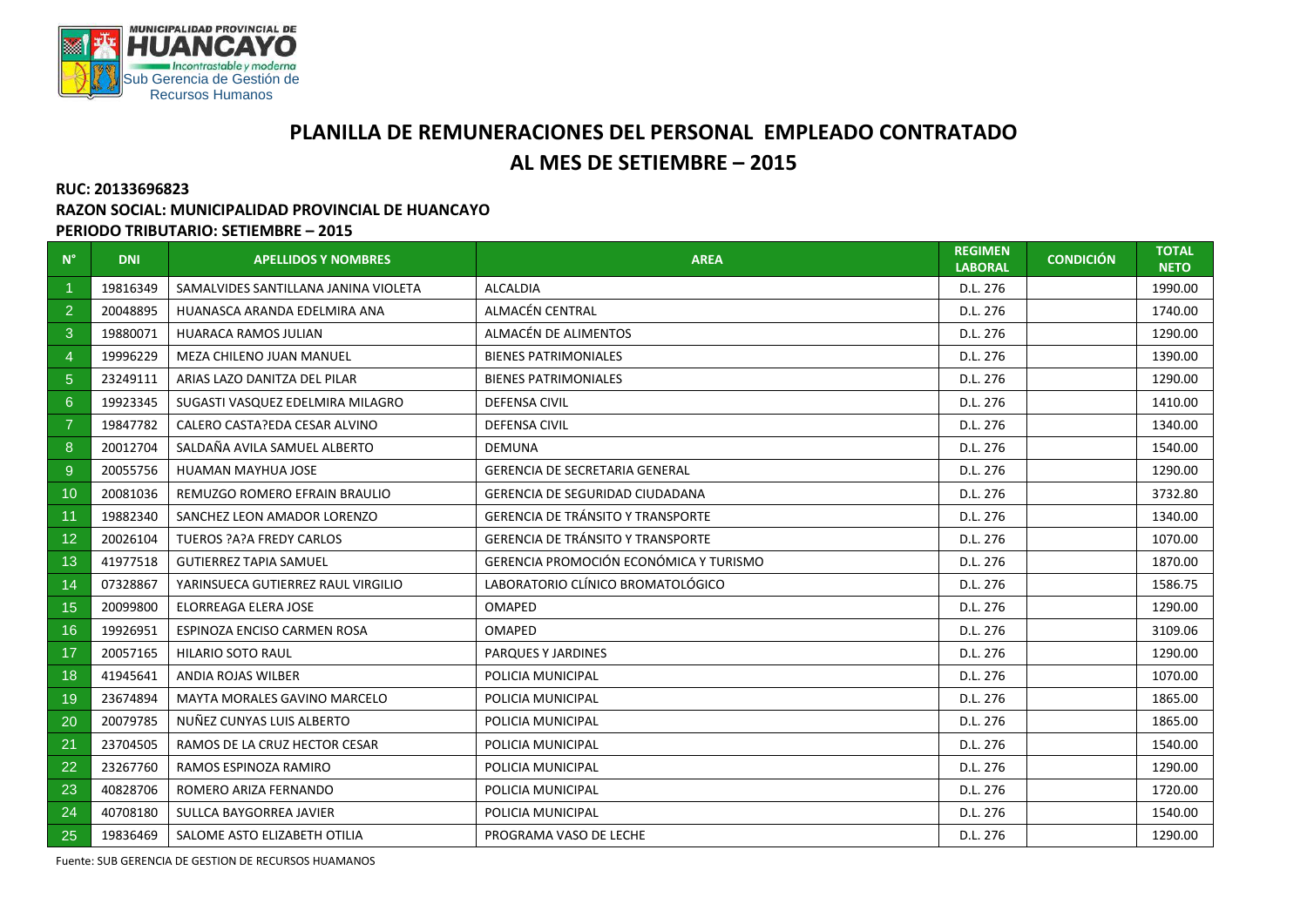

## **PLANILLA DE REMUNERACIONES DEL PERSONAL EMPLEADO CONTRATADO AL MES DE SETIEMBRE – 2015**

## **RUC: 20133696823**

## **RAZON SOCIAL: MUNICIPALIDAD PROVINCIAL DE HUANCAYO**

## **PERIODO TRIBUTARIO: SETIEMBRE – 2015**

| $N^{\circ}$    | <b>DNI</b> | <b>APELLIDOS Y NOMBRES</b>           | <b>AREA</b>                              | <b>REGIMEN</b><br><b>LABORAL</b> | <b>CONDICIÓN</b> | <b>TOTAL</b><br><b>NETO</b> |
|----------------|------------|--------------------------------------|------------------------------------------|----------------------------------|------------------|-----------------------------|
|                | 19816349   | SAMALVIDES SANTILLANA JANINA VIOLETA | <b>ALCALDIA</b>                          | D.L. 276                         |                  | 1990.00                     |
| 2              | 20048895   | HUANASCA ARANDA EDELMIRA ANA         | ALMACÉN CENTRAL                          | D.L. 276                         |                  | 1740.00                     |
| 3              | 19880071   | <b>HUARACA RAMOS JULIAN</b>          | ALMACÉN DE ALIMENTOS                     | D.L. 276                         |                  | 1290.00                     |
| $\overline{4}$ | 19996229   | MEZA CHILENO JUAN MANUEL             | <b>BIENES PATRIMONIALES</b>              | D.L. 276                         |                  | 1390.00                     |
| 5 <sup>5</sup> | 23249111   | ARIAS LAZO DANITZA DEL PILAR         | <b>BIENES PATRIMONIALES</b>              | D.L. 276                         |                  | 1290.00                     |
| 6              | 19923345   | SUGASTI VASQUEZ EDELMIRA MILAGRO     | <b>DEFENSA CIVIL</b>                     | D.L. 276                         |                  | 1410.00                     |
| $\overline{7}$ | 19847782   | CALERO CASTA?EDA CESAR ALVINO        | <b>DEFENSA CIVIL</b>                     | D.L. 276                         |                  | 1340.00                     |
| 8              | 20012704   | SALDAÑA AVILA SAMUEL ALBERTO         | <b>DEMUNA</b>                            | D.L. 276                         |                  | 1540.00                     |
| 9              | 20055756   | HUAMAN MAYHUA JOSE                   | <b>GERENCIA DE SECRETARIA GENERAL</b>    | D.L. 276                         |                  | 1290.00                     |
| 10             | 20081036   | REMUZGO ROMERO EFRAIN BRAULIO        | <b>GERENCIA DE SEGURIDAD CIUDADANA</b>   | D.L. 276                         |                  | 3732.80                     |
| 11             | 19882340   | SANCHEZ LEON AMADOR LORENZO          | <b>GERENCIA DE TRÁNSITO Y TRANSPORTE</b> | D.L. 276                         |                  | 1340.00                     |
| 12             | 20026104   | TUEROS ?A?A FREDY CARLOS             | <b>GERENCIA DE TRÁNSITO Y TRANSPORTE</b> | D.L. 276                         |                  | 1070.00                     |
| 13             | 41977518   | <b>GUTIERREZ TAPIA SAMUEL</b>        | GERENCIA PROMOCIÓN ECONÓMICA Y TURISMO   | D.L. 276                         |                  | 1870.00                     |
| 14             | 07328867   | YARINSUECA GUTIERREZ RAUL VIRGILIO   | LABORATORIO CLÍNICO BROMATOLÓGICO        | D.L. 276                         |                  | 1586.75                     |
| 15             | 20099800   | ELORREAGA ELERA JOSE                 | <b>OMAPED</b>                            | D.L. 276                         |                  | 1290.00                     |
| 16             | 19926951   | ESPINOZA ENCISO CARMEN ROSA          | <b>OMAPED</b>                            | D.L. 276                         |                  | 3109.06                     |
| 17             | 20057165   | <b>HILARIO SOTO RAUL</b>             | PARQUES Y JARDINES                       | D.L. 276                         |                  | 1290.00                     |
| 18             | 41945641   | ANDIA ROJAS WILBER                   | POLICIA MUNICIPAL                        | D.L. 276                         |                  | 1070.00                     |
| 19             | 23674894   | <b>MAYTA MORALES GAVINO MARCELO</b>  | POLICIA MUNICIPAL                        | D.L. 276                         |                  | 1865.00                     |
| 20             | 20079785   | NUÑEZ CUNYAS LUIS ALBERTO            | POLICIA MUNICIPAL                        | D.L. 276                         |                  | 1865.00                     |
| 21             | 23704505   | RAMOS DE LA CRUZ HECTOR CESAR        | POLICIA MUNICIPAL                        | D.L. 276                         |                  | 1540.00                     |
| 22             | 23267760   | RAMOS ESPINOZA RAMIRO                | POLICIA MUNICIPAL                        | D.L. 276                         |                  | 1290.00                     |
| 23             | 40828706   | ROMERO ARIZA FERNANDO                | POLICIA MUNICIPAL                        | D.L. 276                         |                  | 1720.00                     |
| 24             | 40708180   | SULLCA BAYGORREA JAVIER              | POLICIA MUNICIPAL                        | D.L. 276                         |                  | 1540.00                     |
| 25             | 19836469   | SALOME ASTO ELIZABETH OTILIA         | PROGRAMA VASO DE LECHE                   | D.L. 276                         |                  | 1290.00                     |

Fuente: SUB GERENCIA DE GESTION DE RECURSOS HUAMANOS